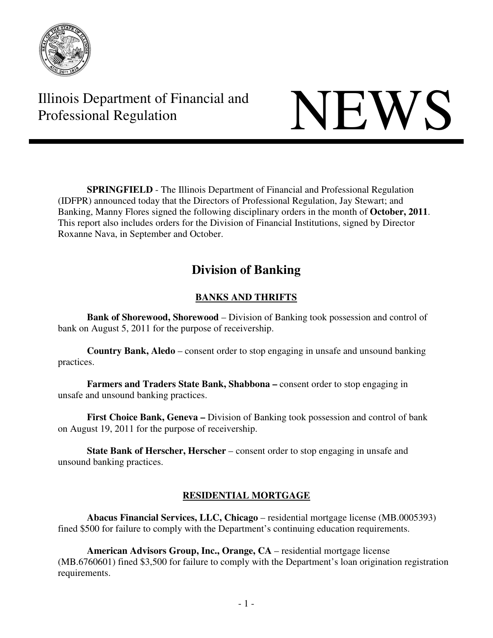

Illinois Department of Financial and Illinois Department of Financial and<br>Professional Regulation

**SPRINGFIELD** - The Illinois Department of Financial and Professional Regulation (IDFPR) announced today that the Directors of Professional Regulation, Jay Stewart; and Banking, Manny Flores signed the following disciplinary orders in the month of **October, 2011**. This report also includes orders for the Division of Financial Institutions, signed by Director Roxanne Nava, in September and October.

# **Division of Banking**

# **BANKS AND THRIFTS**

**Bank of Shorewood, Shorewood** – Division of Banking took possession and control of bank on August 5, 2011 for the purpose of receivership.

**Country Bank, Aledo** – consent order to stop engaging in unsafe and unsound banking practices.

 **Farmers and Traders State Bank, Shabbona –** consent order to stop engaging in unsafe and unsound banking practices.

**First Choice Bank, Geneva –** Division of Banking took possession and control of bank on August 19, 2011 for the purpose of receivership.

 **State Bank of Herscher, Herscher** – consent order to stop engaging in unsafe and unsound banking practices.

# **RESIDENTIAL MORTGAGE**

**Abacus Financial Services, LLC, Chicago** – residential mortgage license (MB.0005393) fined \$500 for failure to comply with the Department's continuing education requirements.

**American Advisors Group, Inc., Orange, CA** – residential mortgage license (MB.6760601) fined \$3,500 for failure to comply with the Department's loan origination registration requirements.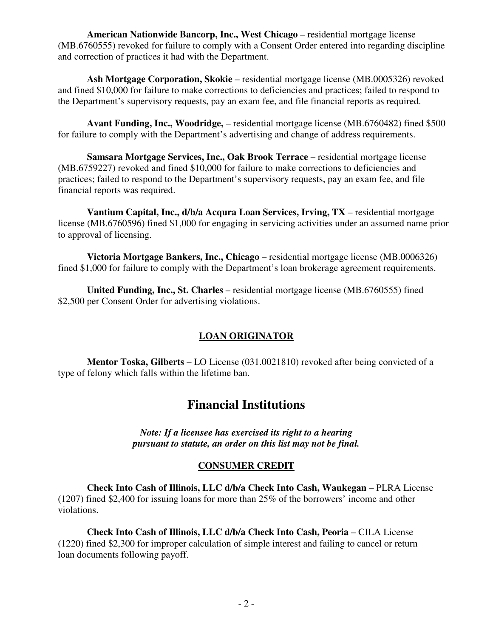**American Nationwide Bancorp, Inc., West Chicago** – residential mortgage license (MB.6760555) revoked for failure to comply with a Consent Order entered into regarding discipline and correction of practices it had with the Department.

**Ash Mortgage Corporation, Skokie** – residential mortgage license (MB.0005326) revoked and fined \$10,000 for failure to make corrections to deficiencies and practices; failed to respond to the Department's supervisory requests, pay an exam fee, and file financial reports as required.

**Avant Funding, Inc., Woodridge,** – residential mortgage license (MB.6760482) fined \$500 for failure to comply with the Department's advertising and change of address requirements.

**Samsara Mortgage Services, Inc., Oak Brook Terrace** – residential mortgage license (MB.6759227) revoked and fined \$10,000 for failure to make corrections to deficiencies and practices; failed to respond to the Department's supervisory requests, pay an exam fee, and file financial reports was required.

**Vantium Capital, Inc., d/b/a Acqura Loan Services, Irving, TX** – residential mortgage license (MB.6760596) fined \$1,000 for engaging in servicing activities under an assumed name prior to approval of licensing.

**Victoria Mortgage Bankers, Inc., Chicago** – residential mortgage license (MB.0006326) fined \$1,000 for failure to comply with the Department's loan brokerage agreement requirements.

**United Funding, Inc., St. Charles** – residential mortgage license (MB.6760555) fined \$2,500 per Consent Order for advertising violations.

# **LOAN ORIGINATOR**

 **Mentor Toska, Gilberts** – LO License (031.0021810) revoked after being convicted of a type of felony which falls within the lifetime ban.

# **Financial Institutions**

*Note: If a licensee has exercised its right to a hearing pursuant to statute, an order on this list may not be final.* 

#### **CONSUMER CREDIT**

**Check Into Cash of Illinois, LLC d/b/a Check Into Cash, Waukegan** – PLRA License (1207) fined \$2,400 for issuing loans for more than 25% of the borrowers' income and other violations.

**Check Into Cash of Illinois, LLC d/b/a Check Into Cash, Peoria** – CILA License (1220) fined \$2,300 for improper calculation of simple interest and failing to cancel or return loan documents following payoff.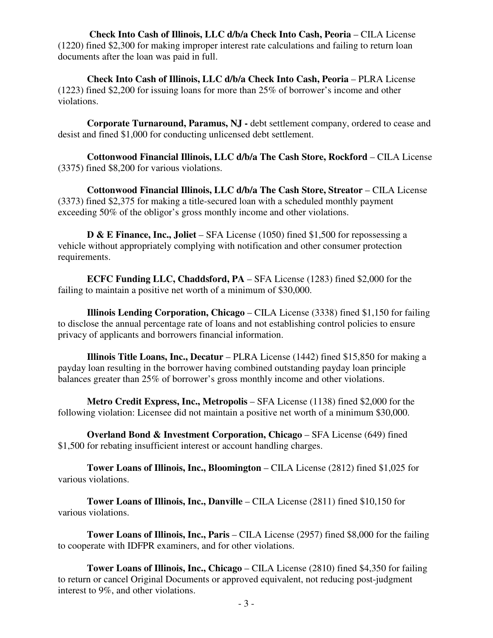**Check Into Cash of Illinois, LLC d/b/a Check Into Cash, Peoria** – CILA License (1220) fined \$2,300 for making improper interest rate calculations and failing to return loan documents after the loan was paid in full.

**Check Into Cash of Illinois, LLC d/b/a Check Into Cash, Peoria** – PLRA License (1223) fined \$2,200 for issuing loans for more than 25% of borrower's income and other violations.

**Corporate Turnaround, Paramus, NJ -** debt settlement company, ordered to cease and desist and fined \$1,000 for conducting unlicensed debt settlement.

**Cottonwood Financial Illinois, LLC d/b/a The Cash Store, Rockford** – CILA License (3375) fined \$8,200 for various violations.

**Cottonwood Financial Illinois, LLC d/b/a The Cash Store, Streator** – CILA License (3373) fined \$2,375 for making a title-secured loan with a scheduled monthly payment exceeding 50% of the obligor's gross monthly income and other violations.

**D & E Finance, Inc., Joliet** – SFA License (1050) fined \$1,500 for repossessing a vehicle without appropriately complying with notification and other consumer protection requirements.

**ECFC Funding LLC, Chaddsford, PA** – SFA License (1283) fined \$2,000 for the failing to maintain a positive net worth of a minimum of \$30,000.

**Illinois Lending Corporation, Chicago** – CILA License (3338) fined \$1,150 for failing to disclose the annual percentage rate of loans and not establishing control policies to ensure privacy of applicants and borrowers financial information.

**Illinois Title Loans, Inc., Decatur** – PLRA License (1442) fined \$15,850 for making a payday loan resulting in the borrower having combined outstanding payday loan principle balances greater than 25% of borrower's gross monthly income and other violations.

**Metro Credit Express, Inc., Metropolis** – SFA License (1138) fined \$2,000 for the following violation: Licensee did not maintain a positive net worth of a minimum \$30,000.

**Overland Bond & Investment Corporation, Chicago** – SFA License (649) fined \$1,500 for rebating insufficient interest or account handling charges.

**Tower Loans of Illinois, Inc., Bloomington** – CILA License (2812) fined \$1,025 for various violations.

**Tower Loans of Illinois, Inc., Danville** – CILA License (2811) fined \$10,150 for various violations.

**Tower Loans of Illinois, Inc., Paris** – CILA License (2957) fined \$8,000 for the failing to cooperate with IDFPR examiners, and for other violations.

**Tower Loans of Illinois, Inc., Chicago** – CILA License (2810) fined \$4,350 for failing to return or cancel Original Documents or approved equivalent, not reducing post-judgment interest to 9%, and other violations.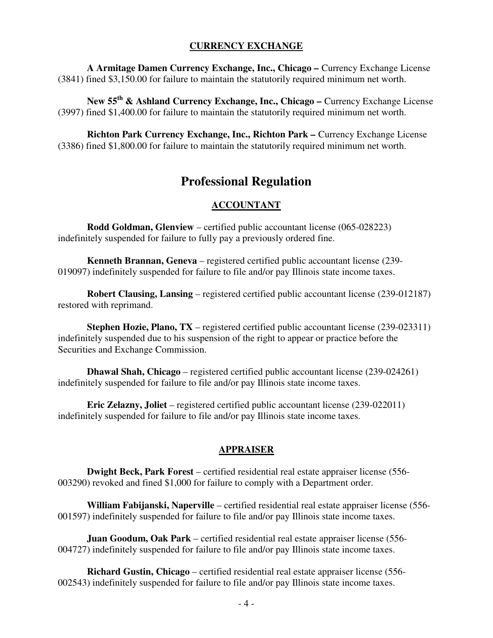#### **CURRENCY EXCHANGE**

**A Armitage Damen Currency Exchange, Inc., Chicago –** Currency Exchange License (3841) fined \$3,150.00 for failure to maintain the statutorily required minimum net worth.

**New 55th & Ashland Currency Exchange, Inc., Chicago –** Currency Exchange License (3997) fined \$1,400.00 for failure to maintain the statutorily required minimum net worth.

**Richton Park Currency Exchange, Inc., Richton Park –** Currency Exchange License (3386) fined \$1,800.00 for failure to maintain the statutorily required minimum net worth.

# **Professional Regulation**

#### **ACCOUNTANT**

 **Rodd Goldman, Glenview** – certified public accountant license (065-028223) indefinitely suspended for failure to fully pay a previously ordered fine.

**Kenneth Brannan, Geneva** – registered certified public accountant license (239- 019097) indefinitely suspended for failure to file and/or pay Illinois state income taxes.

 **Robert Clausing, Lansing** – registered certified public accountant license (239-012187) restored with reprimand.

**Stephen Hozie, Plano, TX** – registered certified public accountant license (239-023311) indefinitely suspended due to his suspension of the right to appear or practice before the Securities and Exchange Commission.

 **Dhawal Shah, Chicago** – registered certified public accountant license (239-024261) indefinitely suspended for failure to file and/or pay Illinois state income taxes.

 **Eric Zelazny, Joliet** – registered certified public accountant license (239-022011) indefinitely suspended for failure to file and/or pay Illinois state income taxes.

#### **APPRAISER**

 **Dwight Beck, Park Forest** – certified residential real estate appraiser license (556- 003290) revoked and fined \$1,000 for failure to comply with a Department order.

 **William Fabijanski, Naperville** – certified residential real estate appraiser license (556- 001597) indefinitely suspended for failure to file and/or pay Illinois state income taxes.

 **Juan Goodum, Oak Park** – certified residential real estate appraiser license (556- 004727) indefinitely suspended for failure to file and/or pay Illinois state income taxes.

 **Richard Gustin, Chicago** – certified residential real estate appraiser license (556- 002543) indefinitely suspended for failure to file and/or pay Illinois state income taxes.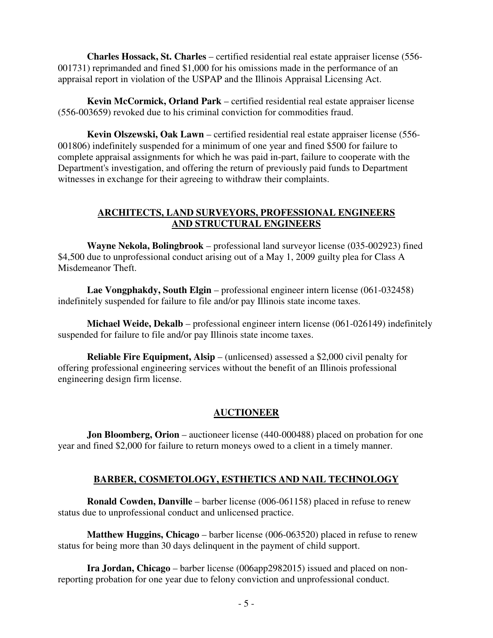**Charles Hossack, St. Charles** – certified residential real estate appraiser license (556- 001731) reprimanded and fined \$1,000 for his omissions made in the performance of an appraisal report in violation of the USPAP and the Illinois Appraisal Licensing Act.

 **Kevin McCormick, Orland Park** – certified residential real estate appraiser license (556-003659) revoked due to his criminal conviction for commodities fraud.

 **Kevin Olszewski, Oak Lawn** – certified residential real estate appraiser license (556- 001806) indefinitely suspended for a minimum of one year and fined \$500 for failure to complete appraisal assignments for which he was paid in-part, failure to cooperate with the Department's investigation, and offering the return of previously paid funds to Department witnesses in exchange for their agreeing to withdraw their complaints.

### **ARCHITECTS, LAND SURVEYORS, PROFESSIONAL ENGINEERS AND STRUCTURAL ENGINEERS**

 **Wayne Nekola, Bolingbrook** – professional land surveyor license (035-002923) fined \$4,500 due to unprofessional conduct arising out of a May 1, 2009 guilty plea for Class A Misdemeanor Theft.

 **Lae Vongphakdy, South Elgin** – professional engineer intern license (061-032458) indefinitely suspended for failure to file and/or pay Illinois state income taxes.

 **Michael Weide, Dekalb** – professional engineer intern license (061-026149) indefinitely suspended for failure to file and/or pay Illinois state income taxes.

 **Reliable Fire Equipment, Alsip** – (unlicensed) assessed a \$2,000 civil penalty for offering professional engineering services without the benefit of an Illinois professional engineering design firm license.

# **AUCTIONEER**

**Jon Bloomberg, Orion** – auctioneer license (440-000488) placed on probation for one year and fined \$2,000 for failure to return moneys owed to a client in a timely manner.

# **BARBER, COSMETOLOGY, ESTHETICS AND NAIL TECHNOLOGY**

 **Ronald Cowden, Danville** – barber license (006-061158) placed in refuse to renew status due to unprofessional conduct and unlicensed practice.

 **Matthew Huggins, Chicago** – barber license (006-063520) placed in refuse to renew status for being more than 30 days delinquent in the payment of child support.

 **Ira Jordan, Chicago** – barber license (006app2982015) issued and placed on nonreporting probation for one year due to felony conviction and unprofessional conduct.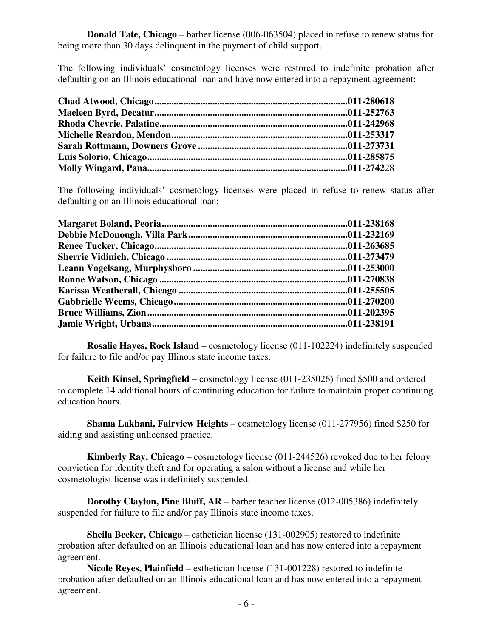**Donald Tate, Chicago** – barber license (006-063504) placed in refuse to renew status for being more than 30 days delinquent in the payment of child support.

The following individuals' cosmetology licenses were restored to indefinite probation after defaulting on an Illinois educational loan and have now entered into a repayment agreement:

The following individuals' cosmetology licenses were placed in refuse to renew status after defaulting on an Illinois educational loan:

 **Rosalie Hayes, Rock Island** – cosmetology license (011-102224) indefinitely suspended for failure to file and/or pay Illinois state income taxes.

 **Keith Kinsel, Springfield** – cosmetology license (011-235026) fined \$500 and ordered to complete 14 additional hours of continuing education for failure to maintain proper continuing education hours.

 **Shama Lakhani, Fairview Heights** – cosmetology license (011-277956) fined \$250 for aiding and assisting unlicensed practice.

 **Kimberly Ray, Chicago** – cosmetology license (011-244526) revoked due to her felony conviction for identity theft and for operating a salon without a license and while her cosmetologist license was indefinitely suspended.

 **Dorothy Clayton, Pine Bluff, AR** – barber teacher license (012-005386) indefinitely suspended for failure to file and/or pay Illinois state income taxes.

 **Sheila Becker, Chicago** – esthetician license (131-002905) restored to indefinite probation after defaulted on an Illinois educational loan and has now entered into a repayment agreement.

 **Nicole Reyes, Plainfield** – esthetician license (131-001228) restored to indefinite probation after defaulted on an Illinois educational loan and has now entered into a repayment agreement.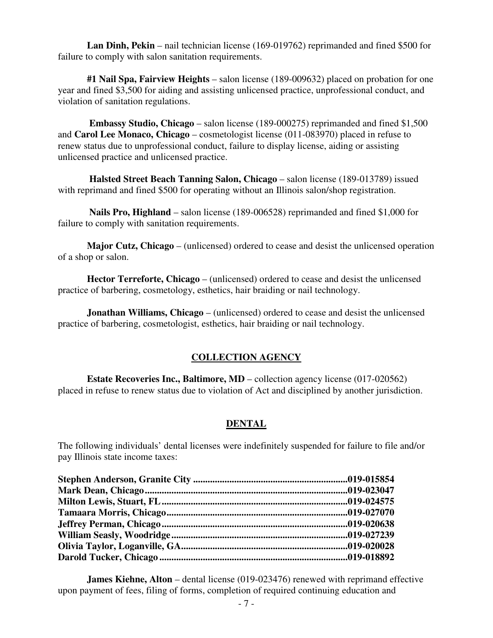**Lan Dinh, Pekin** – nail technician license (169-019762) reprimanded and fined \$500 for failure to comply with salon sanitation requirements.

 **#1 Nail Spa, Fairview Heights** – salon license (189-009632) placed on probation for one year and fined \$3,500 for aiding and assisting unlicensed practice, unprofessional conduct, and violation of sanitation regulations.

 **Embassy Studio, Chicago** – salon license (189-000275) reprimanded and fined \$1,500 and **Carol Lee Monaco, Chicago** – cosmetologist license (011-083970) placed in refuse to renew status due to unprofessional conduct, failure to display license, aiding or assisting unlicensed practice and unlicensed practice.

 **Halsted Street Beach Tanning Salon, Chicago** – salon license (189-013789) issued with reprimand and fined \$500 for operating without an Illinois salon/shop registration.

 **Nails Pro, Highland** – salon license (189-006528) reprimanded and fined \$1,000 for failure to comply with sanitation requirements.

 **Major Cutz, Chicago** – (unlicensed) ordered to cease and desist the unlicensed operation of a shop or salon.

 **Hector Terreforte, Chicago** – (unlicensed) ordered to cease and desist the unlicensed practice of barbering, cosmetology, esthetics, hair braiding or nail technology.

 **Jonathan Williams, Chicago** – (unlicensed) ordered to cease and desist the unlicensed practice of barbering, cosmetologist, esthetics, hair braiding or nail technology.

# **COLLECTION AGENCY**

**Estate Recoveries Inc., Baltimore, MD** – collection agency license (017-020562) placed in refuse to renew status due to violation of Act and disciplined by another jurisdiction.

#### **DENTAL**

The following individuals' dental licenses were indefinitely suspended for failure to file and/or pay Illinois state income taxes:

**James Kiehne, Alton** – dental license (019-023476) renewed with reprimand effective upon payment of fees, filing of forms, completion of required continuing education and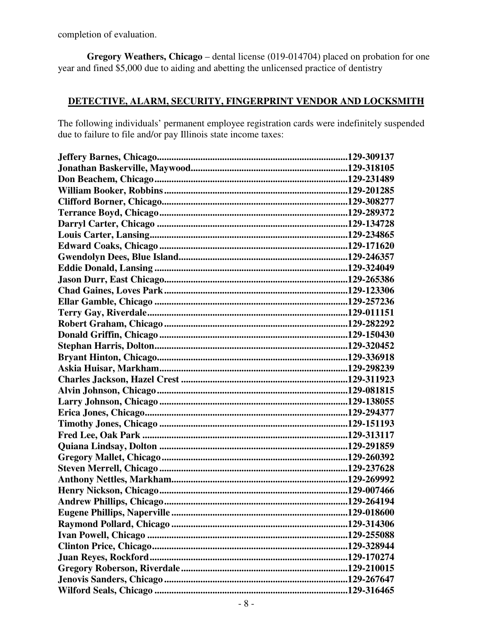completion of evaluation.

 **Gregory Weathers, Chicago** – dental license (019-014704) placed on probation for one year and fined \$5,000 due to aiding and abetting the unlicensed practice of dentistry

## **DETECTIVE, ALARM, SECURITY, FINGERPRINT VENDOR AND LOCKSMITH**

The following individuals' permanent employee registration cards were indefinitely suspended due to failure to file and/or pay Illinois state income taxes: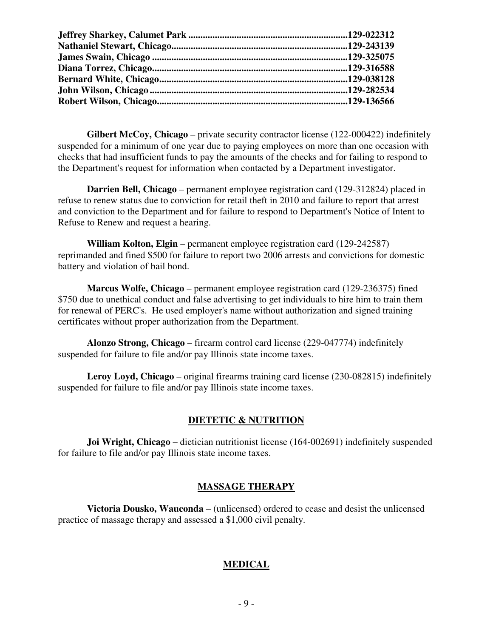**Gilbert McCoy, Chicago** – private security contractor license (122-000422) indefinitely suspended for a minimum of one year due to paying employees on more than one occasion with checks that had insufficient funds to pay the amounts of the checks and for failing to respond to the Department's request for information when contacted by a Department investigator.

 **Darrien Bell, Chicago** – permanent employee registration card (129-312824) placed in refuse to renew status due to conviction for retail theft in 2010 and failure to report that arrest and conviction to the Department and for failure to respond to Department's Notice of Intent to Refuse to Renew and request a hearing.

 **William Kolton, Elgin** – permanent employee registration card (129-242587) reprimanded and fined \$500 for failure to report two 2006 arrests and convictions for domestic battery and violation of bail bond.

 **Marcus Wolfe, Chicago** – permanent employee registration card (129-236375) fined \$750 due to unethical conduct and false advertising to get individuals to hire him to train them for renewal of PERC's. He used employer's name without authorization and signed training certificates without proper authorization from the Department.

 **Alonzo Strong, Chicago** – firearm control card license (229-047774) indefinitely suspended for failure to file and/or pay Illinois state income taxes.

 **Leroy Loyd, Chicago** – original firearms training card license (230-082815) indefinitely suspended for failure to file and/or pay Illinois state income taxes.

#### **DIETETIC & NUTRITION**

**Joi Wright, Chicago** – dietician nutritionist license (164-002691) indefinitely suspended for failure to file and/or pay Illinois state income taxes.

#### **MASSAGE THERAPY**

 **Victoria Dousko, Wauconda** – (unlicensed) ordered to cease and desist the unlicensed practice of massage therapy and assessed a \$1,000 civil penalty.

#### **MEDICAL**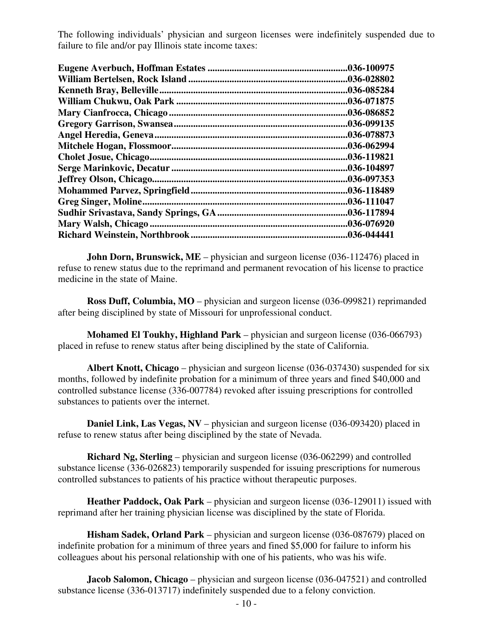The following individuals' physician and surgeon licenses were indefinitely suspended due to failure to file and/or pay Illinois state income taxes:

| .036-100975 |
|-------------|
| .036-028802 |
| .036-085284 |
| .036-071875 |
| .036-086852 |
| .036-099135 |
| .036-078873 |
| .036-062994 |
| .036-119821 |
| .036-104897 |
| .036-097353 |
| .036-118489 |
| .036-111047 |
| .036-117894 |
| .036-076920 |
| .036-044441 |
|             |

**John Dorn, Brunswick, ME** – physician and surgeon license (036-112476) placed in refuse to renew status due to the reprimand and permanent revocation of his license to practice medicine in the state of Maine.

 **Ross Duff, Columbia, MO** – physician and surgeon license (036-099821) reprimanded after being disciplined by state of Missouri for unprofessional conduct.

 **Mohamed El Toukhy, Highland Park** – physician and surgeon license (036-066793) placed in refuse to renew status after being disciplined by the state of California.

 **Albert Knott, Chicago** – physician and surgeon license (036-037430) suspended for six months, followed by indefinite probation for a minimum of three years and fined \$40,000 and controlled substance license (336-007784) revoked after issuing prescriptions for controlled substances to patients over the internet.

**Daniel Link, Las Vegas, NV** – physician and surgeon license (036-093420) placed in refuse to renew status after being disciplined by the state of Nevada.

 **Richard Ng, Sterling** – physician and surgeon license (036-062299) and controlled substance license (336-026823) temporarily suspended for issuing prescriptions for numerous controlled substances to patients of his practice without therapeutic purposes.

 **Heather Paddock, Oak Park** – physician and surgeon license (036-129011) issued with reprimand after her training physician license was disciplined by the state of Florida.

 **Hisham Sadek, Orland Park** – physician and surgeon license (036-087679) placed on indefinite probation for a minimum of three years and fined \$5,000 for failure to inform his colleagues about his personal relationship with one of his patients, who was his wife.

 **Jacob Salomon, Chicago** – physician and surgeon license (036-047521) and controlled substance license (336-013717) indefinitely suspended due to a felony conviction.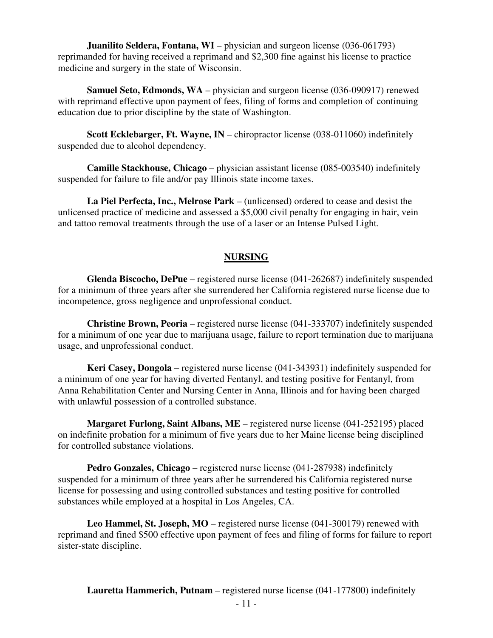**Juanilito Seldera, Fontana, WI** – physician and surgeon license (036-061793) reprimanded for having received a reprimand and \$2,300 fine against his license to practice medicine and surgery in the state of Wisconsin.

**Samuel Seto, Edmonds, WA** – physician and surgeon license (036-090917) renewed with reprimand effective upon payment of fees, filing of forms and completion of continuing education due to prior discipline by the state of Washington.

 **Scott Ecklebarger, Ft. Wayne, IN** – chiropractor license (038-011060) indefinitely suspended due to alcohol dependency.

 **Camille Stackhouse, Chicago** – physician assistant license (085-003540) indefinitely suspended for failure to file and/or pay Illinois state income taxes.

 **La Piel Perfecta, Inc., Melrose Park** – (unlicensed) ordered to cease and desist the unlicensed practice of medicine and assessed a \$5,000 civil penalty for engaging in hair, vein and tattoo removal treatments through the use of a laser or an Intense Pulsed Light.

#### **NURSING**

 **Glenda Biscocho, DePue** – registered nurse license (041-262687) indefinitely suspended for a minimum of three years after she surrendered her California registered nurse license due to incompetence, gross negligence and unprofessional conduct.

 **Christine Brown, Peoria** – registered nurse license (041-333707) indefinitely suspended for a minimum of one year due to marijuana usage, failure to report termination due to marijuana usage, and unprofessional conduct.

 **Keri Casey, Dongola** – registered nurse license (041-343931) indefinitely suspended for a minimum of one year for having diverted Fentanyl, and testing positive for Fentanyl, from Anna Rehabilitation Center and Nursing Center in Anna, Illinois and for having been charged with unlawful possession of a controlled substance.

 **Margaret Furlong, Saint Albans, ME** – registered nurse license (041-252195) placed on indefinite probation for a minimum of five years due to her Maine license being disciplined for controlled substance violations.

 **Pedro Gonzales, Chicago** – registered nurse license (041-287938) indefinitely suspended for a minimum of three years after he surrendered his California registered nurse license for possessing and using controlled substances and testing positive for controlled substances while employed at a hospital in Los Angeles, CA.

**Leo Hammel, St. Joseph, MO** – registered nurse license (041-300179) renewed with reprimand and fined \$500 effective upon payment of fees and filing of forms for failure to report sister-state discipline.

**Lauretta Hammerich, Putnam** – registered nurse license (041-177800) indefinitely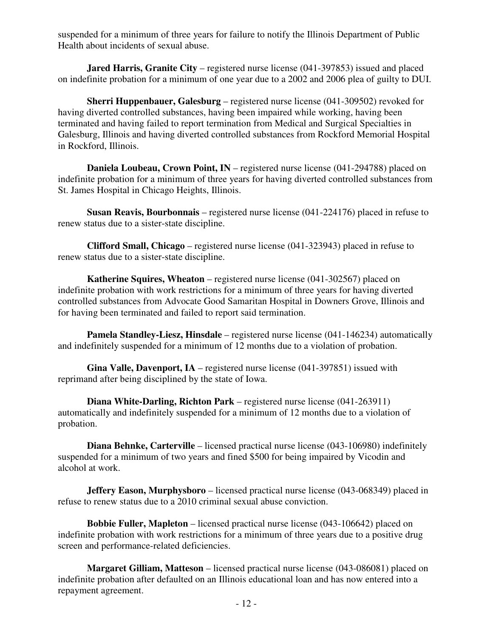suspended for a minimum of three years for failure to notify the Illinois Department of Public Health about incidents of sexual abuse.

**Jared Harris, Granite City** – registered nurse license (041-397853) issued and placed on indefinite probation for a minimum of one year due to a 2002 and 2006 plea of guilty to DUI.

 **Sherri Huppenbauer, Galesburg** – registered nurse license (041-309502) revoked for having diverted controlled substances, having been impaired while working, having been terminated and having failed to report termination from Medical and Surgical Specialties in Galesburg, Illinois and having diverted controlled substances from Rockford Memorial Hospital in Rockford, Illinois.

 **Daniela Loubeau, Crown Point, IN** – registered nurse license (041-294788) placed on indefinite probation for a minimum of three years for having diverted controlled substances from St. James Hospital in Chicago Heights, Illinois.

 **Susan Reavis, Bourbonnais** – registered nurse license (041-224176) placed in refuse to renew status due to a sister-state discipline.

 **Clifford Small, Chicago** – registered nurse license (041-323943) placed in refuse to renew status due to a sister-state discipline.

 **Katherine Squires, Wheaton** – registered nurse license (041-302567) placed on indefinite probation with work restrictions for a minimum of three years for having diverted controlled substances from Advocate Good Samaritan Hospital in Downers Grove, Illinois and for having been terminated and failed to report said termination.

 **Pamela Standley-Liesz, Hinsdale** – registered nurse license (041-146234) automatically and indefinitely suspended for a minimum of 12 months due to a violation of probation.

 **Gina Valle, Davenport, IA** – registered nurse license (041-397851) issued with reprimand after being disciplined by the state of Iowa.

 **Diana White-Darling, Richton Park** – registered nurse license (041-263911) automatically and indefinitely suspended for a minimum of 12 months due to a violation of probation.

**Diana Behnke, Carterville** – licensed practical nurse license (043-106980) indefinitely suspended for a minimum of two years and fined \$500 for being impaired by Vicodin and alcohol at work.

**Jeffery Eason, Murphysboro** – licensed practical nurse license (043-068349) placed in refuse to renew status due to a 2010 criminal sexual abuse conviction.

 **Bobbie Fuller, Mapleton** – licensed practical nurse license (043-106642) placed on indefinite probation with work restrictions for a minimum of three years due to a positive drug screen and performance-related deficiencies.

 **Margaret Gilliam, Matteson** – licensed practical nurse license (043-086081) placed on indefinite probation after defaulted on an Illinois educational loan and has now entered into a repayment agreement.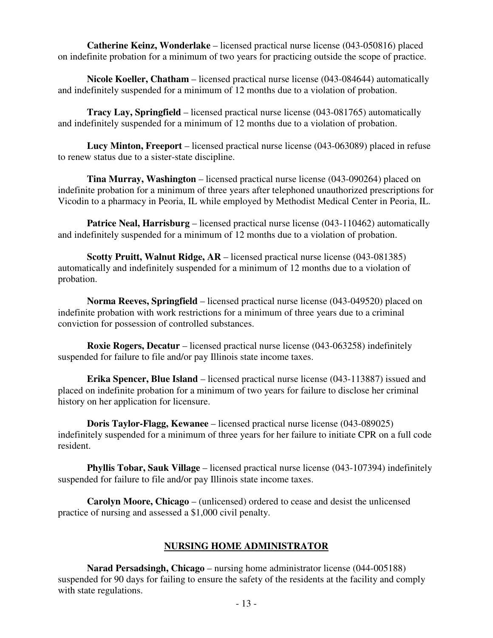**Catherine Keinz, Wonderlake** – licensed practical nurse license (043-050816) placed on indefinite probation for a minimum of two years for practicing outside the scope of practice.

 **Nicole Koeller, Chatham** – licensed practical nurse license (043-084644) automatically and indefinitely suspended for a minimum of 12 months due to a violation of probation.

**Tracy Lay, Springfield** – licensed practical nurse license (043-081765) automatically and indefinitely suspended for a minimum of 12 months due to a violation of probation.

 **Lucy Minton, Freeport** – licensed practical nurse license (043-063089) placed in refuse to renew status due to a sister-state discipline.

 **Tina Murray, Washington** – licensed practical nurse license (043-090264) placed on indefinite probation for a minimum of three years after telephoned unauthorized prescriptions for Vicodin to a pharmacy in Peoria, IL while employed by Methodist Medical Center in Peoria, IL.

**Patrice Neal, Harrisburg** – licensed practical nurse license (043-110462) automatically and indefinitely suspended for a minimum of 12 months due to a violation of probation.

 **Scotty Pruitt, Walnut Ridge, AR** – licensed practical nurse license (043-081385) automatically and indefinitely suspended for a minimum of 12 months due to a violation of probation.

**Norma Reeves, Springfield** – licensed practical nurse license (043-049520) placed on indefinite probation with work restrictions for a minimum of three years due to a criminal conviction for possession of controlled substances.

 **Roxie Rogers, Decatur** – licensed practical nurse license (043-063258) indefinitely suspended for failure to file and/or pay Illinois state income taxes.

 **Erika Spencer, Blue Island** – licensed practical nurse license (043-113887) issued and placed on indefinite probation for a minimum of two years for failure to disclose her criminal history on her application for licensure.

 **Doris Taylor-Flagg, Kewanee** – licensed practical nurse license (043-089025) indefinitely suspended for a minimum of three years for her failure to initiate CPR on a full code resident.

 **Phyllis Tobar, Sauk Village** – licensed practical nurse license (043-107394) indefinitely suspended for failure to file and/or pay Illinois state income taxes.

 **Carolyn Moore, Chicago** – (unlicensed) ordered to cease and desist the unlicensed practice of nursing and assessed a \$1,000 civil penalty.

#### **NURSING HOME ADMINISTRATOR**

 **Narad Persadsingh, Chicago** – nursing home administrator license (044-005188) suspended for 90 days for failing to ensure the safety of the residents at the facility and comply with state regulations.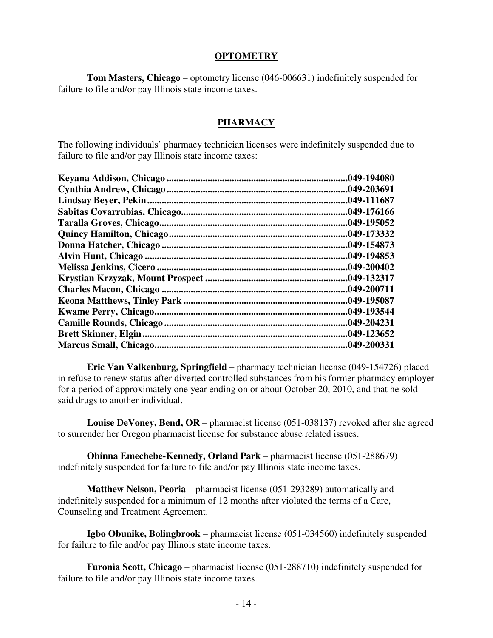#### **OPTOMETRY**

 **Tom Masters, Chicago** – optometry license (046-006631) indefinitely suspended for failure to file and/or pay Illinois state income taxes.

#### **PHARMACY**

The following individuals' pharmacy technician licenses were indefinitely suspended due to failure to file and/or pay Illinois state income taxes:

|                       | .049-194080 |
|-----------------------|-------------|
|                       | .049-203691 |
| Lindsay Beyer, Pekin. | .049-111687 |
|                       | .049-176166 |
|                       | .049-195052 |
|                       | .049-173332 |
|                       | .049-154873 |
|                       | .049-194853 |
|                       | .049-200402 |
|                       | .049-132317 |
|                       | .049-200711 |
|                       | .049-195087 |
|                       | .049-193544 |
|                       | .049-204231 |
|                       | .049-123652 |
|                       | .049-200331 |
|                       |             |

 **Eric Van Valkenburg, Springfield** – pharmacy technician license (049-154726) placed in refuse to renew status after diverted controlled substances from his former pharmacy employer for a period of approximately one year ending on or about October 20, 2010, and that he sold said drugs to another individual.

 **Louise DeVoney, Bend, OR** – pharmacist license (051-038137) revoked after she agreed to surrender her Oregon pharmacist license for substance abuse related issues.

 **Obinna Emechebe-Kennedy, Orland Park** – pharmacist license (051-288679) indefinitely suspended for failure to file and/or pay Illinois state income taxes.

 **Matthew Nelson, Peoria** – pharmacist license (051-293289) automatically and indefinitely suspended for a minimum of 12 months after violated the terms of a Care, Counseling and Treatment Agreement.

 **Igbo Obunike, Bolingbrook** – pharmacist license (051-034560) indefinitely suspended for failure to file and/or pay Illinois state income taxes.

 **Furonia Scott, Chicago** – pharmacist license (051-288710) indefinitely suspended for failure to file and/or pay Illinois state income taxes.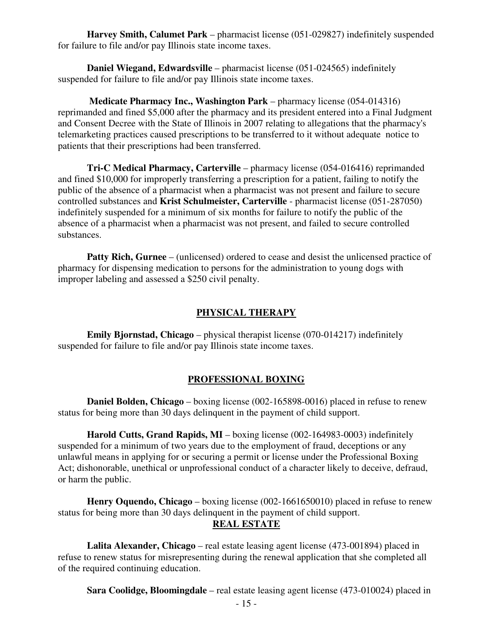**Harvey Smith, Calumet Park** – pharmacist license (051-029827) indefinitely suspended for failure to file and/or pay Illinois state income taxes.

 **Daniel Wiegand, Edwardsville** – pharmacist license (051-024565) indefinitely suspended for failure to file and/or pay Illinois state income taxes.

 **Medicate Pharmacy Inc., Washington Park** – pharmacy license (054-014316) reprimanded and fined \$5,000 after the pharmacy and its president entered into a Final Judgment and Consent Decree with the State of Illinois in 2007 relating to allegations that the pharmacy's telemarketing practices caused prescriptions to be transferred to it without adequate notice to patients that their prescriptions had been transferred.

 **Tri-C Medical Pharmacy, Carterville** – pharmacy license (054-016416) reprimanded and fined \$10,000 for improperly transferring a prescription for a patient, failing to notify the public of the absence of a pharmacist when a pharmacist was not present and failure to secure controlled substances and **Krist Schulmeister, Carterville** - pharmacist license (051-287050) indefinitely suspended for a minimum of six months for failure to notify the public of the absence of a pharmacist when a pharmacist was not present, and failed to secure controlled substances.

**Patty Rich, Gurnee** – (unlicensed) ordered to cease and desist the unlicensed practice of pharmacy for dispensing medication to persons for the administration to young dogs with improper labeling and assessed a \$250 civil penalty.

#### **PHYSICAL THERAPY**

 **Emily Bjornstad, Chicago** – physical therapist license (070-014217) indefinitely suspended for failure to file and/or pay Illinois state income taxes.

#### **PROFESSIONAL BOXING**

 **Daniel Bolden, Chicago** – boxing license (002-165898-0016) placed in refuse to renew status for being more than 30 days delinquent in the payment of child support.

 **Harold Cutts, Grand Rapids, MI** – boxing license (002-164983-0003) indefinitely suspended for a minimum of two years due to the employment of fraud, deceptions or any unlawful means in applying for or securing a permit or license under the Professional Boxing Act; dishonorable, unethical or unprofessional conduct of a character likely to deceive, defraud, or harm the public.

 **Henry Oquendo, Chicago** – boxing license (002-1661650010) placed in refuse to renew status for being more than 30 days delinquent in the payment of child support.

#### **REAL ESTATE**

 **Lalita Alexander, Chicago** – real estate leasing agent license (473-001894) placed in refuse to renew status for misrepresenting during the renewal application that she completed all of the required continuing education.

**Sara Coolidge, Bloomingdale** – real estate leasing agent license (473-010024) placed in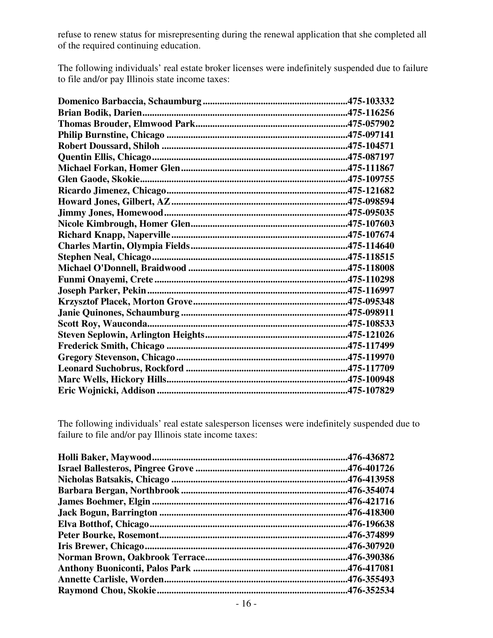refuse to renew status for misrepresenting during the renewal application that she completed all of the required continuing education.

The following individuals' real estate broker licenses were indefinitely suspended due to failure to file and/or pay Illinois state income taxes:

The following individuals' real estate salesperson licenses were indefinitely suspended due to failure to file and/or pay Illinois state income taxes:

| .476-436872 |
|-------------|
|             |
|             |
| .476-354074 |
|             |
|             |
|             |
|             |
| .476-307920 |
|             |
|             |
| .476-355493 |
| .476-352534 |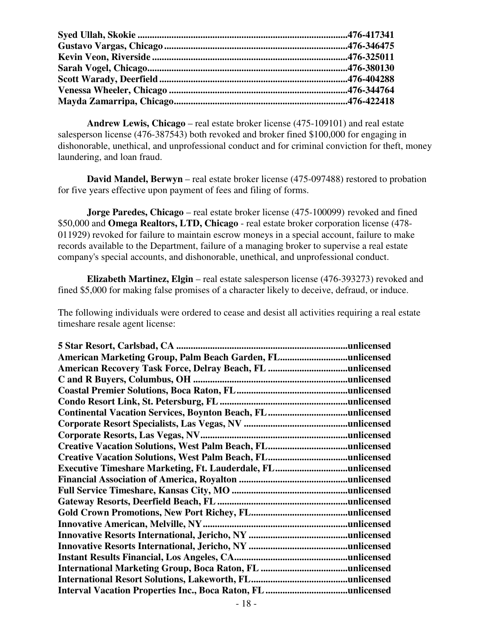**Andrew Lewis, Chicago** – real estate broker license (475-109101) and real estate salesperson license (476-387543) both revoked and broker fined \$100,000 for engaging in dishonorable, unethical, and unprofessional conduct and for criminal conviction for theft, money laundering, and loan fraud.

 **David Mandel, Berwyn** – real estate broker license (475-097488) restored to probation for five years effective upon payment of fees and filing of forms.

**Jorge Paredes, Chicago** – real estate broker license (475-100099) revoked and fined \$50,000 and **Omega Realtors, LTD, Chicago** - real estate broker corporation license (478- 011929) revoked for failure to maintain escrow moneys in a special account, failure to make records available to the Department, failure of a managing broker to supervise a real estate company's special accounts, and dishonorable, unethical, and unprofessional conduct.

 **Elizabeth Martinez, Elgin** – real estate salesperson license (476-393273) revoked and fined \$5,000 for making false promises of a character likely to deceive, defraud, or induce.

The following individuals were ordered to cease and desist all activities requiring a real estate timeshare resale agent license:

| American Marketing Group, Palm Beach Garden, FLunlicensed          |  |
|--------------------------------------------------------------------|--|
|                                                                    |  |
|                                                                    |  |
|                                                                    |  |
|                                                                    |  |
|                                                                    |  |
|                                                                    |  |
|                                                                    |  |
|                                                                    |  |
|                                                                    |  |
| <b>Executive Timeshare Marketing, Ft. Lauderdale, FLunlicensed</b> |  |
|                                                                    |  |
|                                                                    |  |
|                                                                    |  |
|                                                                    |  |
|                                                                    |  |
|                                                                    |  |
|                                                                    |  |
|                                                                    |  |
|                                                                    |  |
|                                                                    |  |
|                                                                    |  |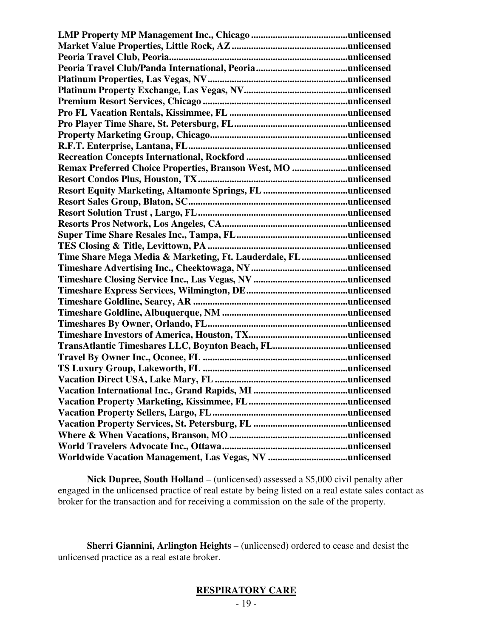| Remax Preferred Choice Properties, Branson West, MO unlicensed   |  |
|------------------------------------------------------------------|--|
|                                                                  |  |
|                                                                  |  |
|                                                                  |  |
|                                                                  |  |
|                                                                  |  |
|                                                                  |  |
|                                                                  |  |
| Time Share Mega Media & Marketing, Ft. Lauderdale, FL unlicensed |  |
|                                                                  |  |
|                                                                  |  |
|                                                                  |  |
|                                                                  |  |
|                                                                  |  |
|                                                                  |  |
|                                                                  |  |
| TransAtlantic Timeshares LLC, Boynton Beach, FLunlicensed        |  |
|                                                                  |  |
|                                                                  |  |
|                                                                  |  |
|                                                                  |  |
|                                                                  |  |
|                                                                  |  |
|                                                                  |  |
|                                                                  |  |
|                                                                  |  |
|                                                                  |  |

 **Nick Dupree, South Holland** – (unlicensed) assessed a \$5,000 civil penalty after engaged in the unlicensed practice of real estate by being listed on a real estate sales contact as broker for the transaction and for receiving a commission on the sale of the property.

 **Sherri Giannini, Arlington Heights** – (unlicensed) ordered to cease and desist the unlicensed practice as a real estate broker.

# **RESPIRATORY CARE**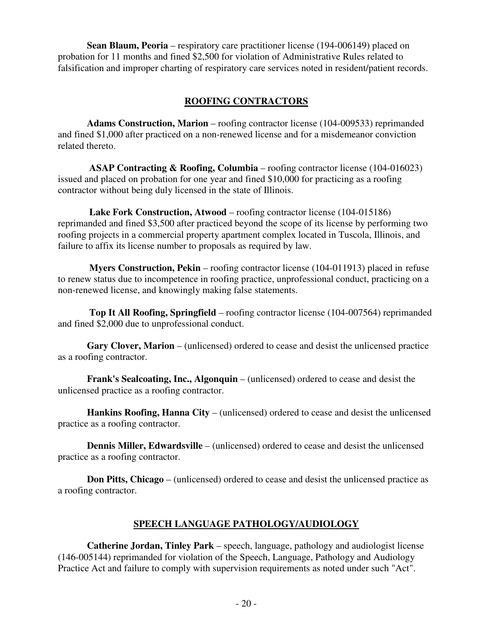**Sean Blaum, Peoria** – respiratory care practitioner license (194-006149) placed on probation for 11 months and fined \$2,500 for violation of Administrative Rules related to falsification and improper charting of respiratory care services noted in resident/patient records.

### **ROOFING CONTRACTORS**

 **Adams Construction, Marion** – roofing contractor license (104-009533) reprimanded and fined \$1,000 after practiced on a non-renewed license and for a misdemeanor conviction related thereto.

 **ASAP Contracting & Roofing, Columbia** – roofing contractor license (104-016023) issued and placed on probation for one year and fined \$10,000 for practicing as a roofing contractor without being duly licensed in the state of Illinois.

 **Lake Fork Construction, Atwood** – roofing contractor license (104-015186) reprimanded and fined \$3,500 after practiced beyond the scope of its license by performing two roofing projects in a commercial property apartment complex located in Tuscola, Illinois, and failure to affix its license number to proposals as required by law.

 **Myers Construction, Pekin** – roofing contractor license (104-011913) placed in refuse to renew status due to incompetence in roofing practice, unprofessional conduct, practicing on a non-renewed license, and knowingly making false statements.

 **Top It All Roofing, Springfield** – roofing contractor license (104-007564) reprimanded and fined \$2,000 due to unprofessional conduct.

 **Gary Clover, Marion** – (unlicensed) ordered to cease and desist the unlicensed practice as a roofing contractor.

 **Frank's Sealcoating, Inc., Algonquin** – (unlicensed) ordered to cease and desist the unlicensed practice as a roofing contractor.

 **Hankins Roofing, Hanna City** – (unlicensed) ordered to cease and desist the unlicensed practice as a roofing contractor.

**Dennis Miller, Edwardsville** – (unlicensed) ordered to cease and desist the unlicensed practice as a roofing contractor.

**Don Pitts, Chicago** – (unlicensed) ordered to cease and desist the unlicensed practice as a roofing contractor.

# **SPEECH LANGUAGE PATHOLOGY/AUDIOLOGY**

 **Catherine Jordan, Tinley Park** – speech, language, pathology and audiologist license (146-005144) reprimanded for violation of the Speech, Language, Pathology and Audiology Practice Act and failure to comply with supervision requirements as noted under such "Act".